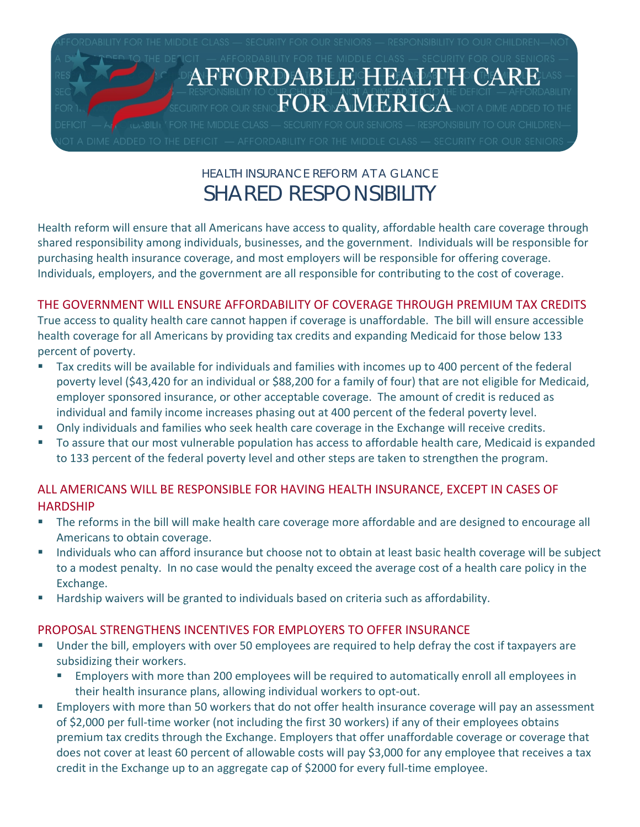

# HEALTH INSURANCE REFORM AT A GLANCE SHARED RESPONSIBILITY

Health reform will ensure that all Americans have access to quality, affordable health care coverage through shared responsibility among individuals, businesses, and the government. Individuals will be responsible for purchasing health insurance coverage, and most employers will be responsible for offering coverage. Individuals, employers, and the government are all responsible for contributing to the cost of coverage.

## THE GOVERNMENT WILL ENSURE AFFORDABILITY OF COVERAGE THROUGH PREMIUM TAX CREDITS

True access to quality health care cannot happen if coverage is unaffordable. The bill will ensure accessible health coverage for all Americans by providing tax credits and expanding Medicaid for those below 133 percent of poverty.

- Tax credits will be available for individuals and families with incomes up to 400 percent of the federal poverty level (\$43,420 for an individual or \$88,200 for a family of four) that are not eligible for Medicaid, employer sponsored insurance, or other acceptable coverage. The amount of credit is reduced as individual and family income increases phasing out at 400 percent of the federal poverty level.
- **Diangleh 20 The Steps is an**d families who seek health care coverage in the Exchange will receive credits.
- To assure that our most vulnerable population has access to affordable health care, Medicaid is expanded to 133 percent of the federal poverty level and other steps are taken to strengthen the program.

### ALL AMERICANS WILL BE RESPONSIBLE FOR HAVING HEALTH INSURANCE, EXCEPT IN CASES OF HARDSHIP

- **The reforms in the bill will make health care coverage more affordable and are designed to encourage all 4** Americans to obtain coverage.
- Individuals who can afford insurance but choose not to obtain at least basic health coverage will be subject to a modest penalty. In no case would the penalty exceed the average cost of a health care policy in the Exchange.
- Hardship waivers will be granted to individuals based on criteria such as affordability.

### PROPOSAL STRENGTHENS INCENTIVES FOR EMPLOYERS TO OFFER INSURANCE

- Under the bill, employers with over 50 employees are required to help defray the cost if taxpayers are subsidizing their workers.
	- Employers with more than 200 employees will be required to automatically enroll all employees in their health insurance plans, allowing individual workers to opt‐out.
- Employers with more than 50 workers that do not offer health insurance coverage will pay an assessment of \$2,000 per full‐time worker (not including the first 30 workers) if any of their employees obtains premium tax credits through the Exchange. Employers that offer unaffordable coverage or coverage that does not cover at least 60 percent of allowable costs will pay \$3,000 for any employee that receives a tax credit in the Exchange up to an aggregate cap of \$2000 for every full-time employee.